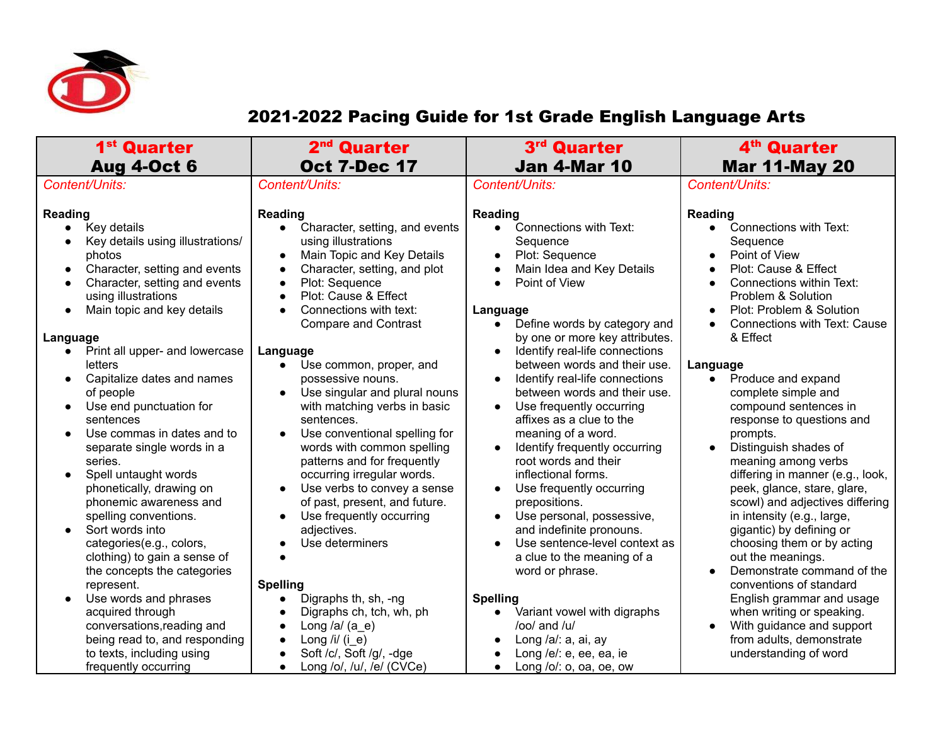

## 2021-2022 Pacing Guide for 1st Grade English Language Arts

| 1 <sup>st</sup> Quarter<br><b>Aug 4-Oct 6</b>                                                                                                                                                                                                                                                                                                                                                                                                                                                                                                                                                                                                                                                                                                                                                                                                                                                                                                               | 2 <sup>nd</sup> Quarter<br><b>Oct 7-Dec 17</b>                                                                                                                                                                                                                                                                                                                                                                                                                                                                                                                                                                                                                                                                                                                                                                                                                                                      | 3 <sup>rd</sup><br><b>Quarter</b><br><b>Jan 4-Mar 10</b>                                                                                                                                                                                                                                                                                                                                                                                                                                                                                                                                                                                                                                                                                                                                                                                                                                                     | 4 <sup>th</sup> Quarter<br><b>Mar 11-May 20</b>                                                                                                                                                                                                                                                                                                                                                                                                                                                                                                                                                                                                                                                                                                                                                                                                                                                                                                               |
|-------------------------------------------------------------------------------------------------------------------------------------------------------------------------------------------------------------------------------------------------------------------------------------------------------------------------------------------------------------------------------------------------------------------------------------------------------------------------------------------------------------------------------------------------------------------------------------------------------------------------------------------------------------------------------------------------------------------------------------------------------------------------------------------------------------------------------------------------------------------------------------------------------------------------------------------------------------|-----------------------------------------------------------------------------------------------------------------------------------------------------------------------------------------------------------------------------------------------------------------------------------------------------------------------------------------------------------------------------------------------------------------------------------------------------------------------------------------------------------------------------------------------------------------------------------------------------------------------------------------------------------------------------------------------------------------------------------------------------------------------------------------------------------------------------------------------------------------------------------------------------|--------------------------------------------------------------------------------------------------------------------------------------------------------------------------------------------------------------------------------------------------------------------------------------------------------------------------------------------------------------------------------------------------------------------------------------------------------------------------------------------------------------------------------------------------------------------------------------------------------------------------------------------------------------------------------------------------------------------------------------------------------------------------------------------------------------------------------------------------------------------------------------------------------------|---------------------------------------------------------------------------------------------------------------------------------------------------------------------------------------------------------------------------------------------------------------------------------------------------------------------------------------------------------------------------------------------------------------------------------------------------------------------------------------------------------------------------------------------------------------------------------------------------------------------------------------------------------------------------------------------------------------------------------------------------------------------------------------------------------------------------------------------------------------------------------------------------------------------------------------------------------------|
| Content/Units:                                                                                                                                                                                                                                                                                                                                                                                                                                                                                                                                                                                                                                                                                                                                                                                                                                                                                                                                              | Content/Units:                                                                                                                                                                                                                                                                                                                                                                                                                                                                                                                                                                                                                                                                                                                                                                                                                                                                                      | Content/Units:                                                                                                                                                                                                                                                                                                                                                                                                                                                                                                                                                                                                                                                                                                                                                                                                                                                                                               | Content/Units:                                                                                                                                                                                                                                                                                                                                                                                                                                                                                                                                                                                                                                                                                                                                                                                                                                                                                                                                                |
| <b>Reading</b><br>Key details<br>$\bullet$<br>Key details using illustrations/<br>photos<br>Character, setting and events<br>$\bullet$<br>Character, setting and events<br>$\bullet$<br>using illustrations<br>Main topic and key details<br>$\bullet$<br>Language<br>Print all upper- and lowercase<br>$\bullet$<br>letters<br>Capitalize dates and names<br>$\bullet$<br>of people<br>Use end punctuation for<br>$\bullet$<br>sentences<br>Use commas in dates and to<br>$\bullet$<br>separate single words in a<br>series.<br>Spell untaught words<br>$\bullet$<br>phonetically, drawing on<br>phonemic awareness and<br>spelling conventions.<br>Sort words into<br>$\bullet$<br>categories(e.g., colors,<br>clothing) to gain a sense of<br>the concepts the categories<br>represent.<br>Use words and phrases<br>acquired through<br>conversations, reading and<br>being read to, and responding<br>to texts, including using<br>frequently occurring | <b>Reading</b><br>Character, setting, and events<br>$\bullet$<br>using illustrations<br>Main Topic and Key Details<br>Character, setting, and plot<br>$\bullet$<br>Plot: Sequence<br>$\bullet$<br>Plot: Cause & Effect<br>Connections with text:<br><b>Compare and Contrast</b><br>Language<br>Use common, proper, and<br>$\bullet$<br>possessive nouns.<br>Use singular and plural nouns<br>with matching verbs in basic<br>sentences.<br>Use conventional spelling for<br>$\bullet$<br>words with common spelling<br>patterns and for frequently<br>occurring irregular words.<br>Use verbs to convey a sense<br>of past, present, and future.<br>Use frequently occurring<br>adjectives.<br>Use determiners<br><b>Spelling</b><br>Digraphs th, sh, -ng<br>Digraphs ch, tch, wh, ph<br>Long /a/ $(a_e)$<br>Long /i/ $(i_e)$<br>Soft /c/, Soft /g/, -dge<br>Long /o/, /u/, /e/ (CVCe)<br>$\bullet$ | Reading<br>Connections with Text:<br>$\bullet$<br>Sequence<br>Plot: Sequence<br>Main Idea and Key Details<br>Point of View<br>Language<br>Define words by category and<br>$\bullet$<br>by one or more key attributes.<br>Identify real-life connections<br>between words and their use.<br>Identify real-life connections<br>$\bullet$<br>between words and their use.<br>Use frequently occurring<br>affixes as a clue to the<br>meaning of a word.<br>Identify frequently occurring<br>root words and their<br>inflectional forms.<br>Use frequently occurring<br>prepositions.<br>Use personal, possessive,<br>and indefinite pronouns.<br>Use sentence-level context as<br>$\bullet$<br>a clue to the meaning of a<br>word or phrase.<br><b>Spelling</b><br>Variant vowel with digraphs<br>$/$ oo $/$ and $/$ u $/$<br>Long /a/: a, ai, ay<br>Long /e/: e, ee, ea, ie<br>Long $\sqrt{$ c/: o, oa, oe, ow | <b>Reading</b><br>Connections with Text:<br>$\bullet$<br>Sequence<br>Point of View<br>$\bullet$<br>Plot: Cause & Effect<br>$\bullet$<br><b>Connections within Text:</b><br>$\bullet$<br>Problem & Solution<br>Plot: Problem & Solution<br>$\bullet$<br><b>Connections with Text: Cause</b><br>$\bullet$<br>& Effect<br>Language<br>Produce and expand<br>$\bullet$<br>complete simple and<br>compound sentences in<br>response to questions and<br>prompts.<br>Distinguish shades of<br>$\bullet$<br>meaning among verbs<br>differing in manner (e.g., look,<br>peek, glance, stare, glare,<br>scowl) and adjectives differing<br>in intensity (e.g., large,<br>gigantic) by defining or<br>choosing them or by acting<br>out the meanings.<br>Demonstrate command of the<br>conventions of standard<br>English grammar and usage<br>when writing or speaking.<br>With guidance and support<br>$\bullet$<br>from adults, demonstrate<br>understanding of word |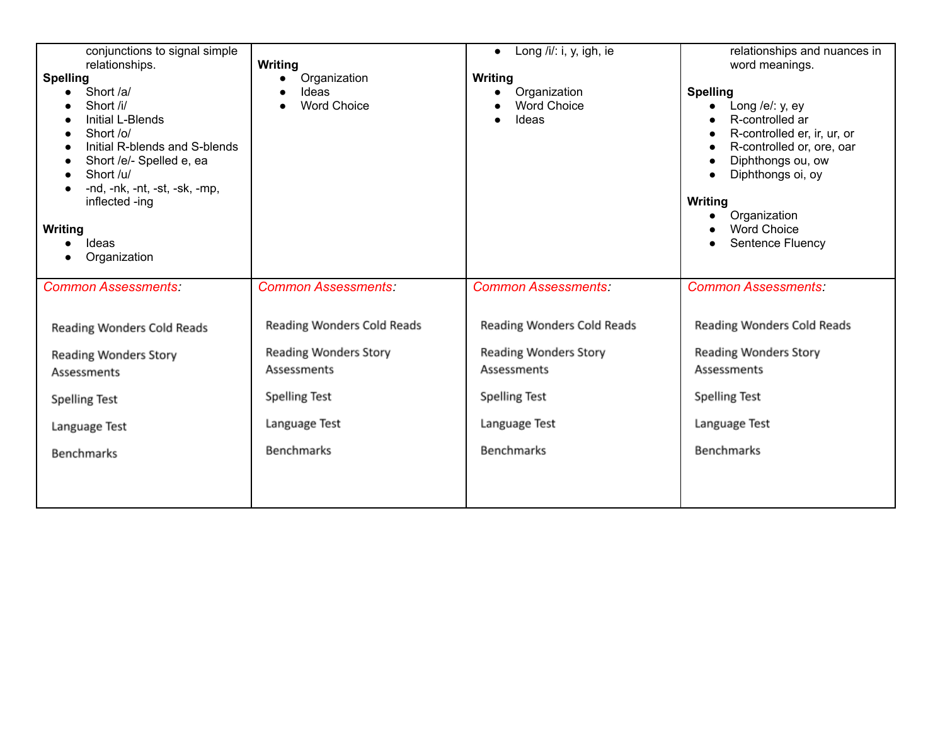| conjunctions to signal simple<br>relationships.<br><b>Spelling</b><br>Short /a/<br>Short /i/<br>Initial L-Blends<br>Short /o/<br>Initial R-blends and S-blends<br>Short /e/- Spelled e, ea<br>Short /u/<br>-nd, -nk, -nt, -st, -sk, -mp,<br>inflected -ing<br>Writing<br>Ideas<br>Organization | <b>Writing</b><br>Organization<br>$\bullet$<br>Ideas<br>$\bullet$<br><b>Word Choice</b><br>$\bullet$                             | Long $\frac{1}{i}$ : i, y, igh, ie<br>$\bullet$<br>Writing<br>Organization<br><b>Word Choice</b><br>Ideas                 | relationships and nuances in<br>word meanings.<br><b>Spelling</b><br>Long /e/: y, ey<br>R-controlled ar<br>R-controlled er, ir, ur, or<br>$\bullet$<br>R-controlled or, ore, oar<br>Diphthongs ou, ow<br>Diphthongs oi, oy<br><b>Writing</b><br>Organization<br><b>Word Choice</b><br>Sentence Fluency<br>$\bullet$ |
|------------------------------------------------------------------------------------------------------------------------------------------------------------------------------------------------------------------------------------------------------------------------------------------------|----------------------------------------------------------------------------------------------------------------------------------|---------------------------------------------------------------------------------------------------------------------------|---------------------------------------------------------------------------------------------------------------------------------------------------------------------------------------------------------------------------------------------------------------------------------------------------------------------|
| <b>Common Assessments:</b>                                                                                                                                                                                                                                                                     | <b>Common Assessments:</b>                                                                                                       | <b>Common Assessments:</b>                                                                                                | <b>Common Assessments:</b>                                                                                                                                                                                                                                                                                          |
| Reading Wonders Cold Reads<br>Reading Wonders Story<br>Assessments<br><b>Spelling Test</b><br>Language Test<br><b>Benchmarks</b>                                                                                                                                                               | Reading Wonders Cold Reads<br>Reading Wonders Story<br>Assessments<br><b>Spelling Test</b><br>Language Test<br><b>Benchmarks</b> | Reading Wonders Cold Reads<br>Reading Wonders Story<br>Assessments<br><b>Spelling Test</b><br>Language Test<br>Benchmarks | Reading Wonders Cold Reads<br>Reading Wonders Story<br>Assessments<br><b>Spelling Test</b><br>Language Test<br><b>Benchmarks</b>                                                                                                                                                                                    |